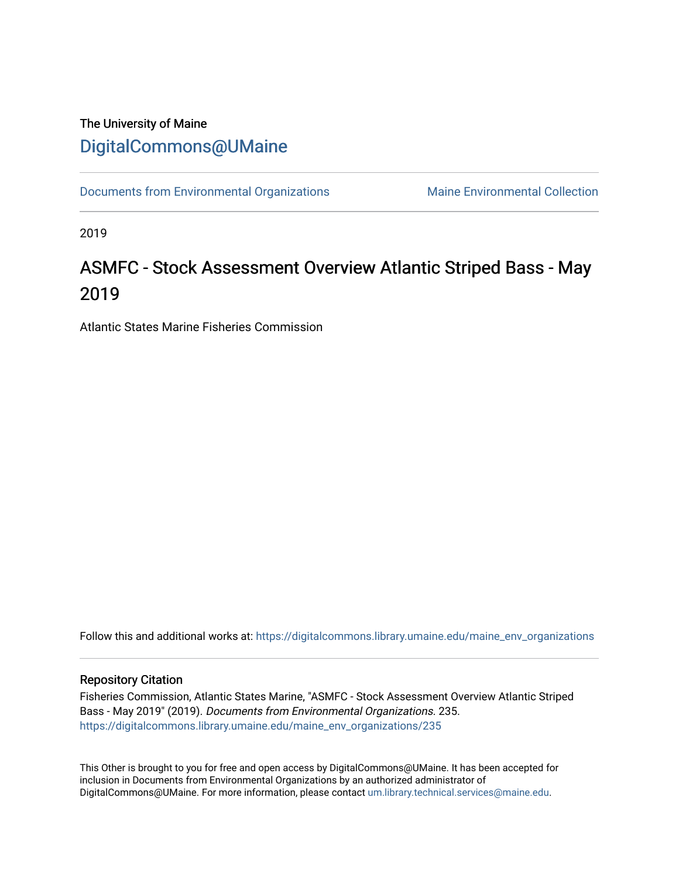# The University of Maine [DigitalCommons@UMaine](https://digitalcommons.library.umaine.edu/)

[Documents from Environmental Organizations](https://digitalcommons.library.umaine.edu/maine_env_organizations) Maine Environmental Collection

2019

# ASMFC - Stock Assessment Overview Atlantic Striped Bass - May 2019

Atlantic States Marine Fisheries Commission

Follow this and additional works at: [https://digitalcommons.library.umaine.edu/maine\\_env\\_organizations](https://digitalcommons.library.umaine.edu/maine_env_organizations?utm_source=digitalcommons.library.umaine.edu%2Fmaine_env_organizations%2F235&utm_medium=PDF&utm_campaign=PDFCoverPages)

#### Repository Citation

Fisheries Commission, Atlantic States Marine, "ASMFC - Stock Assessment Overview Atlantic Striped Bass - May 2019" (2019). Documents from Environmental Organizations. 235. [https://digitalcommons.library.umaine.edu/maine\\_env\\_organizations/235](https://digitalcommons.library.umaine.edu/maine_env_organizations/235?utm_source=digitalcommons.library.umaine.edu%2Fmaine_env_organizations%2F235&utm_medium=PDF&utm_campaign=PDFCoverPages)

This Other is brought to you for free and open access by DigitalCommons@UMaine. It has been accepted for inclusion in Documents from Environmental Organizations by an authorized administrator of DigitalCommons@UMaine. For more information, please contact [um.library.technical.services@maine.edu](mailto:um.library.technical.services@maine.edu).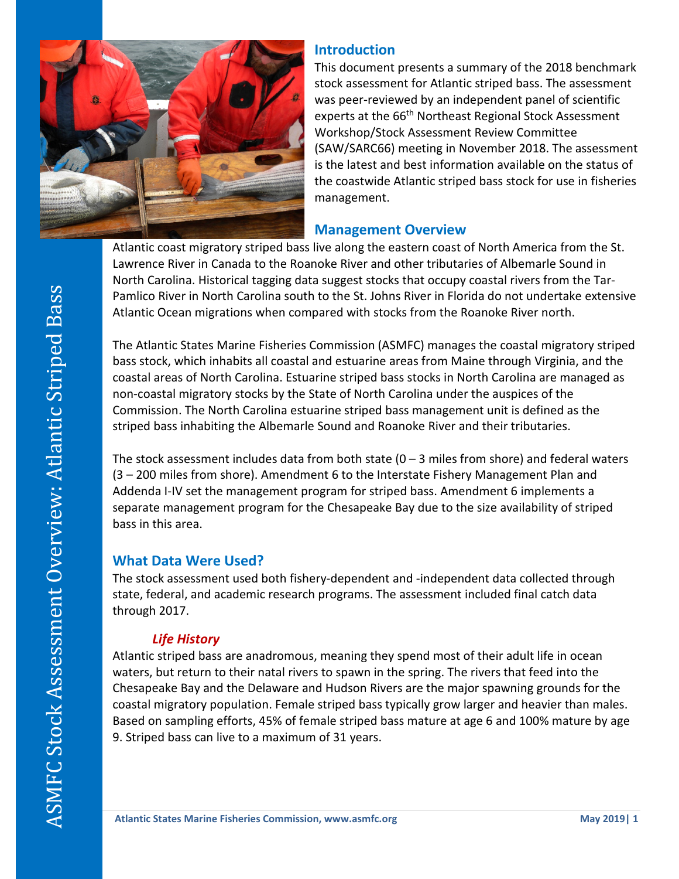

#### **Introduction**

This document presents a summary of the 2018 benchmark stock assessment for Atlantic striped bass. The assessment was peer-reviewed by an independent panel of scientific experts at the 66<sup>th</sup> Northeast Regional Stock Assessment Workshop/Stock Assessment Review Committee (SAW/SARC66) meeting in November 2018. The assessment is the latest and best information available on the status of the coastwide Atlantic striped bass stock for use in fisheries management.

#### **Management Overview**

Atlantic coast migratory striped bass live along the eastern coast of North America from the St. Lawrence River in Canada to the Roanoke River and other tributaries of Albemarle Sound in North Carolina. Historical tagging data suggest stocks that occupy coastal rivers from the Tar-Pamlico River in North Carolina south to the St. Johns River in Florida do not undertake extensive Atlantic Ocean migrations when compared with stocks from the Roanoke River north.

The Atlantic States Marine Fisheries Commission (ASMFC) manages the coastal migratory striped bass stock, which inhabits all coastal and estuarine areas from Maine through Virginia, and the coastal areas of North Carolina. Estuarine striped bass stocks in North Carolina are managed as non-coastal migratory stocks by the State of North Carolina under the auspices of the Commission. The North Carolina estuarine striped bass management unit is defined as the striped bass inhabiting the Albemarle Sound and Roanoke River and their tributaries.

The stock assessment includes data from both state  $(0 - 3$  miles from shore) and federal waters (3 – 200 miles from shore). Amendment 6 to the Interstate Fishery Management Plan and Addenda I-IV set the management program for striped bass. Amendment 6 implements a separate management program for the Chesapeake Bay due to the size availability of striped bass in this area.

## **What Data Were Used?**

The stock assessment used both fishery-dependent and -independent data collected through state, federal, and academic research programs. The assessment included final catch data through 2017.

## *Life History*

Atlantic striped bass are anadromous, meaning they spend most of their adult life in ocean waters, but return to their natal rivers to spawn in the spring. The rivers that feed into the Chesapeake Bay and the Delaware and Hudson Rivers are the major spawning grounds for the coastal migratory population. Female striped bass typically grow larger and heavier than males. Based on sampling efforts, 45% of female striped bass mature at age 6 and 100% mature by age 9. Striped bass can live to a maximum of 31 years.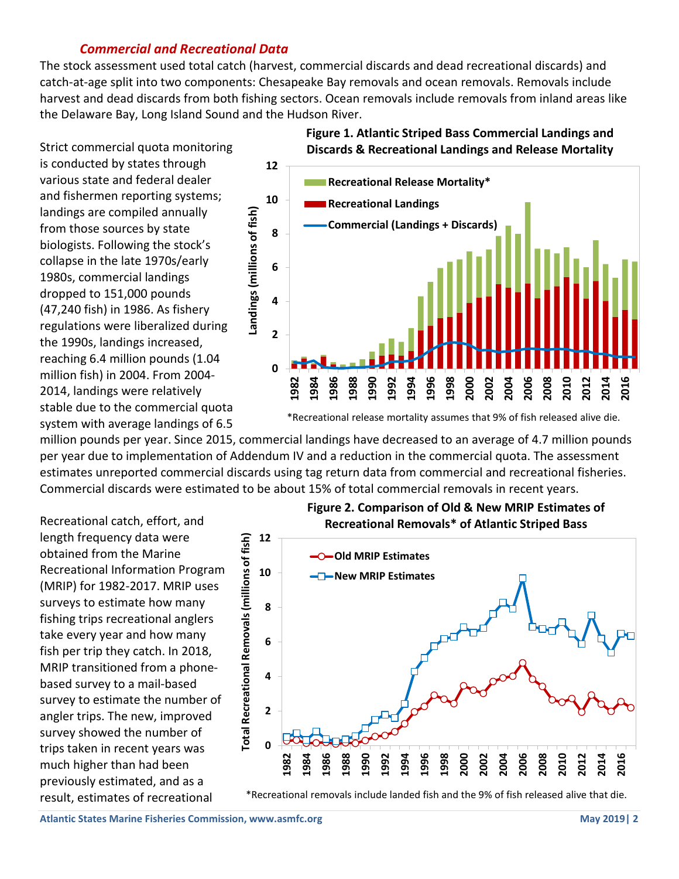#### *Commercial and Recreational Data*

The stock assessment used total catch (harvest, commercial discards and dead recreational discards) and catch-at-age split into two components: Chesapeake Bay removals and ocean removals. Removals include harvest and dead discards from both fishing sectors. Ocean removals include removals from inland areas like the Delaware Bay, Long Island Sound and the Hudson River.

Strict commercial quota monitoring is conducted by states through various state and federal dealer and fishermen reporting systems; landings are compiled annually from those sources by state biologists. Following the stock's collapse in the late 1970s/early 1980s, commercial landings dropped to 151,000 pounds (47,240 fish) in 1986. As fishery regulations were liberalized during the 1990s, landings increased, reaching 6.4 million pounds (1.04 million fish) in 2004. From 2004- 2014, landings were relatively stable due to the commercial quota system with average landings of 6.5



**Figure 1. Atlantic Striped Bass Commercial Landings and** 

\*Recreational release mortality assumes that 9% of fish released alive die.

million pounds per year. Since 2015, commercial landings have decreased to an average of 4.7 million pounds per year due to implementation of Addendum IV and a reduction in the commercial quota. The assessment estimates unreported commercial discards using tag return data from commercial and recreational fisheries. Commercial discards were estimated to be about 15% of total commercial removals in recent years.

Recreational catch, effort, and length frequency data were obtained from the Marine Recreational Information Program (MRIP) for 1982-2017. MRIP uses surveys to estimate how many fishing trips recreational anglers take every year and how many fish per trip they catch. In 2018, MRIP transitioned from a phonebased survey to a mail-based survey to estimate the number of angler trips. The new, improved survey showed the number of trips taken in recent years was much higher than had been previously estimated, and as a result, estimates of recreational





\*Recreational removals include landed fish and the 9% of fish released alive that die.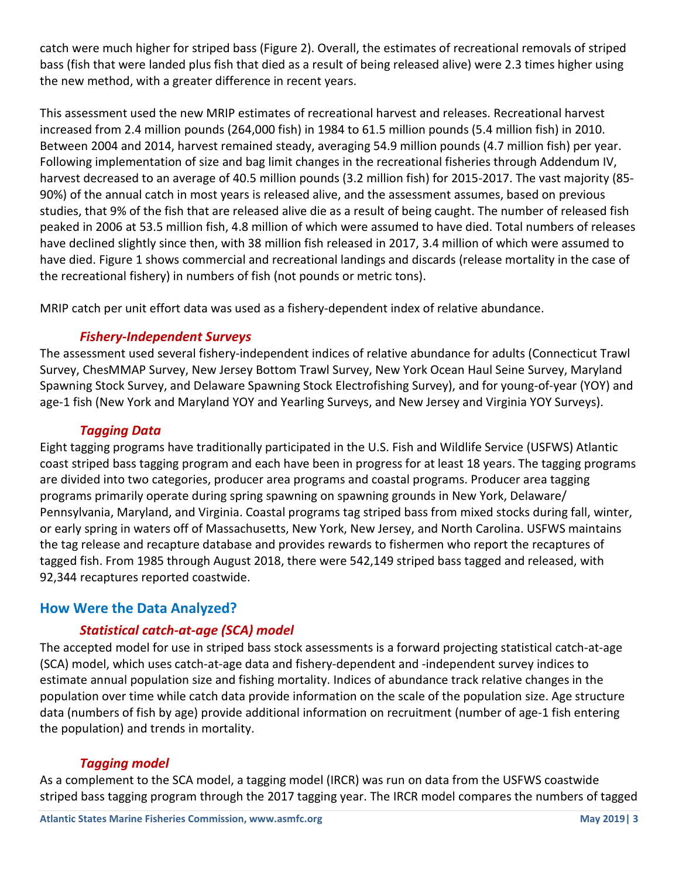catch were much higher for striped bass (Figure 2). Overall, the estimates of recreational removals of striped bass (fish that were landed plus fish that died as a result of being released alive) were 2.3 times higher using the new method, with a greater difference in recent years.

This assessment used the new MRIP estimates of recreational harvest and releases. Recreational harvest increased from 2.4 million pounds (264,000 fish) in 1984 to 61.5 million pounds (5.4 million fish) in 2010. Between 2004 and 2014, harvest remained steady, averaging 54.9 million pounds (4.7 million fish) per year. Following implementation of size and bag limit changes in the recreational fisheries through Addendum IV, harvest decreased to an average of 40.5 million pounds (3.2 million fish) for 2015-2017. The vast majority (85- 90%) of the annual catch in most years is released alive, and the assessment assumes, based on previous studies, that 9% of the fish that are released alive die as a result of being caught. The number of released fish peaked in 2006 at 53.5 million fish, 4.8 million of which were assumed to have died. Total numbers of releases have declined slightly since then, with 38 million fish released in 2017, 3.4 million of which were assumed to have died. Figure 1 shows commercial and recreational landings and discards (release mortality in the case of the recreational fishery) in numbers of fish (not pounds or metric tons).

MRIP catch per unit effort data was used as a fishery-dependent index of relative abundance.

## *Fishery-Independent Surveys*

The assessment used several fishery-independent indices of relative abundance for adults (Connecticut Trawl Survey, ChesMMAP Survey, New Jersey Bottom Trawl Survey, New York Ocean Haul Seine Survey, Maryland Spawning Stock Survey, and Delaware Spawning Stock Electrofishing Survey), and for young-of-year (YOY) and age-1 fish (New York and Maryland YOY and Yearling Surveys, and New Jersey and Virginia YOY Surveys).

#### *Tagging Data*

Eight tagging programs have traditionally participated in the U.S. Fish and Wildlife Service (USFWS) Atlantic coast striped bass tagging program and each have been in progress for at least 18 years. The tagging programs are divided into two categories, producer area programs and coastal programs. Producer area tagging programs primarily operate during spring spawning on spawning grounds in New York, Delaware/ Pennsylvania, Maryland, and Virginia. Coastal programs tag striped bass from mixed stocks during fall, winter, or early spring in waters off of Massachusetts, New York, New Jersey, and North Carolina. USFWS maintains the tag release and recapture database and provides rewards to fishermen who report the recaptures of tagged fish. From 1985 through August 2018, there were 542,149 striped bass tagged and released, with 92,344 recaptures reported coastwide.

## **How Were the Data Analyzed?**

## *Statistical catch-at-age (SCA) model*

The accepted model for use in striped bass stock assessments is a forward projecting statistical catch-at-age (SCA) model, which uses catch-at-age data and fishery-dependent and -independent survey indices to estimate annual population size and fishing mortality. Indices of abundance track relative changes in the population over time while catch data provide information on the scale of the population size. Age structure data (numbers of fish by age) provide additional information on recruitment (number of age-1 fish entering the population) and trends in mortality.

#### *Tagging model*

As a complement to the SCA model, a tagging model (IRCR) was run on data from the USFWS coastwide striped bass tagging program through the 2017 tagging year. The IRCR model compares the numbers of tagged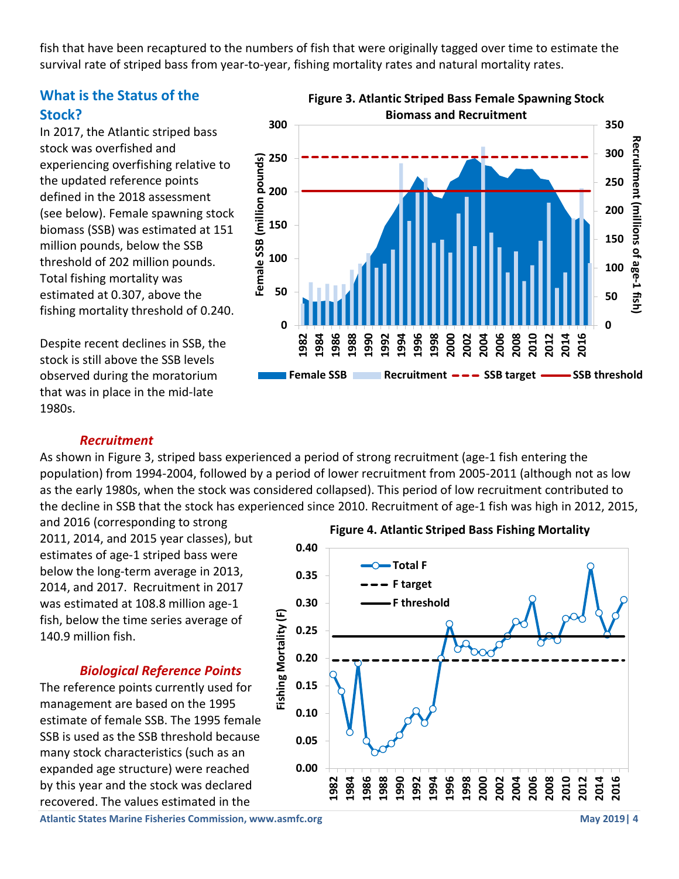fish that have been recaptured to the numbers of fish that were originally tagged over time to estimate the survival rate of striped bass from year-to-year, fishing mortality rates and natural mortality rates.

## **What is the Status of the Stock?**

In 2017, the Atlantic striped bass stock was overfished and experiencing overfishing relative to the updated reference points defined in the 2018 assessment (see below). Female spawning stock biomass (SSB) was estimated at 151 million pounds, below the SSB threshold of 202 million pounds. Total fishing mortality was estimated at 0.307, above the fishing mortality threshold of 0.240.

Despite recent declines in SSB, the stock is still above the SSB levels observed during the moratorium that was in place in the mid-late 1980s.



#### *Recruitment*

As shown in Figure 3, striped bass experienced a period of strong recruitment (age-1 fish entering the population) from 1994-2004, followed by a period of lower recruitment from 2005-2011 (although not as low as the early 1980s, when the stock was considered collapsed). This period of low recruitment contributed to the decline in SSB that the stock has experienced since 2010. Recruitment of age-1 fish was high in 2012, 2015,

and 2016 (corresponding to strong 2011, 2014, and 2015 year classes), but estimates of age-1 striped bass were below the long-term average in 2013, 2014, and 2017. Recruitment in 2017 was estimated at 108.8 million age-1 fish, below the time series average of 140.9 million fish.

#### *Biological Reference Points*

The reference points currently used for management are based on the 1995 estimate of female SSB. The 1995 female SSB is used as the SSB threshold because many stock characteristics (such as an expanded age structure) were reached by this year and the stock was declared recovered. The values estimated in the



**Atlantic States Marine Fisheries Commission, www.asmfc.org <b>May 2019** 1 **May 2019** 1 **May 2019** 1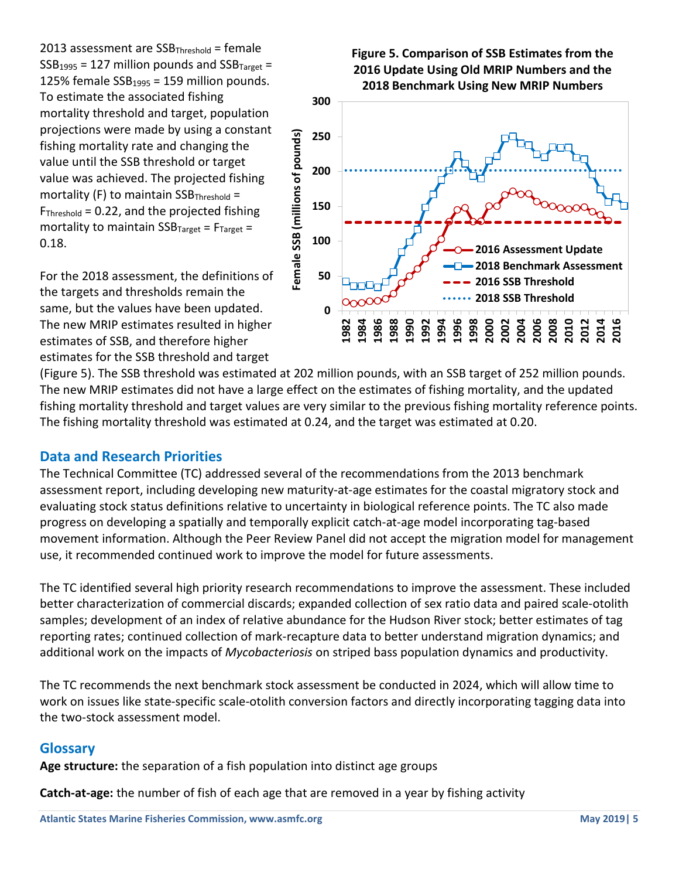2013 assessment are  $SSB<sub>Threshold</sub> = female$  $SSB<sub>1995</sub> = 127$  million pounds and  $SSB<sub>Tareet</sub> =$ 125% female  $SSB_{1995} = 159$  million pounds. To estimate the associated fishing mortality threshold and target, population projections were made by using a constant fishing mortality rate and changing the value until the SSB threshold or target value was achieved. The projected fishing mortality (F) to maintain  $SSB_{Threshold} =$  $F<sub>Threshold</sub> = 0.22$ , and the projected fishing mortality to maintain  $SSB_{Target} = F_{Target} =$ 0.18.

For the 2018 assessment, the definitions of the targets and thresholds remain the same, but the values have been updated. The new MRIP estimates resulted in higher estimates of SSB, and therefore higher estimates for the SSB threshold and target



**Figure 5. Comparison of SSB Estimates from the** 

(Figure 5). The SSB threshold was estimated at 202 million pounds, with an SSB target of 252 million pounds. The new MRIP estimates did not have a large effect on the estimates of fishing mortality, and the updated fishing mortality threshold and target values are very similar to the previous fishing mortality reference points. The fishing mortality threshold was estimated at 0.24, and the target was estimated at 0.20.

## **Data and Research Priorities**

The Technical Committee (TC) addressed several of the recommendations from the 2013 benchmark assessment report, including developing new maturity-at-age estimates for the coastal migratory stock and evaluating stock status definitions relative to uncertainty in biological reference points. The TC also made progress on developing a spatially and temporally explicit catch-at-age model incorporating tag-based movement information. Although the Peer Review Panel did not accept the migration model for management use, it recommended continued work to improve the model for future assessments.

The TC identified several high priority research recommendations to improve the assessment. These included better characterization of commercial discards; expanded collection of sex ratio data and paired scale-otolith samples; development of an index of relative abundance for the Hudson River stock; better estimates of tag reporting rates; continued collection of mark-recapture data to better understand migration dynamics; and additional work on the impacts of *Mycobacteriosis* on striped bass population dynamics and productivity.

The TC recommends the next benchmark stock assessment be conducted in 2024, which will allow time to work on issues like state-specific scale-otolith conversion factors and directly incorporating tagging data into the two-stock assessment model.

## **Glossary**

**Age structure:** the separation of a fish population into distinct age groups

**Catch-at-age:** the number of fish of each age that are removed in a year by fishing activity